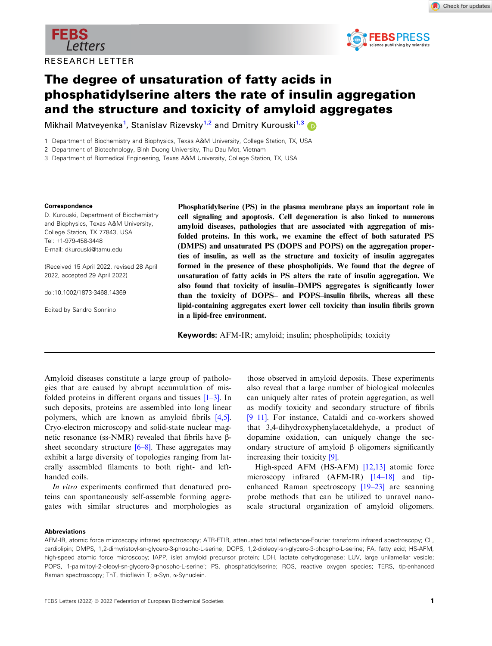

Check for updates



Mikhail Matveyenka<sup>1</sup>, Stanislav Rizevsky<sup>1,2</sup> and Dmitry Kurouski<sup>1,[3](https://orcid.org/0000-0002-6040-4213)</sup>

1 Department of Biochemistry and Biophysics, Texas A&M University, College Station, TX, USA

2 Department of Biotechnology, Binh Duong University, Thu Dau Mot, Vietnam

3 Department of Biomedical Engineering, Texas A&M University, College Station, TX, USA

#### Correspondence

D. Kurouski, Department of Biochemistry and Biophysics, Texas A&M University, College Station, TX 77843, USA Tel: +1-979-458-3448 E-mail: [dkurouski@tamu.edu](mailto:)

(Received 15 April 2022, revised 28 April 2022, accepted 29 April 2022)

doi:10.1002/1873-3468.14369

Edited by Sandro Sonnino

Phosphatidylserine (PS) in the plasma membrane plays an important role in cell signaling and apoptosis. Cell degeneration is also linked to numerous amyloid diseases, pathologies that are associated with aggregation of misfolded proteins. In this work, we examine the effect of both saturated PS (DMPS) and unsaturated PS (DOPS and POPS) on the aggregation properties of insulin, as well as the structure and toxicity of insulin aggregates formed in the presence of these phospholipids. We found that the degree of unsaturation of fatty acids in PS alters the rate of insulin aggregation. We also found that toxicity of insulin–DMPS aggregates is significantly lower than the toxicity of DOPS– and POPS–insulin fibrils, whereas all these lipid-containing aggregates exert lower cell toxicity than insulin fibrils grown in a lipid-free environment.

Keywords: AFM-IR; amyloid; insulin; phospholipids; toxicity

Amyloid diseases constitute a large group of pathologies that are caused by abrupt accumulation of misfolded proteins in different organs and tissues [[1](#page-7-0)–[3\]](#page-7-0). In such deposits, proteins are assembled into long linear polymers, which are known as amyloid fibrils [\[4,5](#page-7-0)]. Cryo-electron microscopy and solid-state nuclear magnetic resonance (ss-NMR) revealed that fibrils have  $\beta$ sheet secondary structure  $[6–8]$  $[6–8]$  $[6–8]$ . These aggregates may exhibit a large diversity of topologies ranging from laterally assembled filaments to both right- and lefthanded coils.

In vitro experiments confirmed that denatured proteins can spontaneously self-assemble forming aggregates with similar structures and morphologies as

those observed in amyloid deposits. These experiments also reveal that a large number of biological molecules can uniquely alter rates of protein aggregation, as well as modify toxicity and secondary structure of fibrils [9[–](#page-7-0)[11\]](#page-7-0). For instance, Cataldi and co-workers showed that 3,4-dihydroxyphenylacetaldehyde, a product of dopamine oxidation, can uniquely change the secondary structure of amyloid  $\beta$  oligomers significantly increasing their toxicity [[9](#page-7-0)].

High-speed AFM (HS-AFM) [\[12,13\]](#page-7-0) atomic force microscopy infrared (AFM-IR) [[14](#page-7-0)–[18](#page-7-0)] and tipenhanced Raman spectroscopy [\[19](#page-7-0)–23] are scanning probe methods that can be utilized to unravel nanoscale structural organization of amyloid oligomers.

#### Abbreviations

AFM-IR, atomic force microscopy infrared spectroscopy; ATR-FTIR, attenuated total reflectance-Fourier transform infrared spectroscopy; CL, cardiolipin; DMPS, 1,2-dimyristoyl-sn-glycero-3-phospho-L-serine; DOPS, 1,2-dioleoyl-sn-glycero-3-phospho-L-serine; FA, fatty acid; HS-AFM, high-speed atomic force microscopy; IAPP, islet amyloid precursor protein; LDH, lactate dehydrogenase; LUV, large unilamellar vesicle; POPS, 1-palmitoyl-2-oleoyl-sn-glycero-3-phospho-L-serine'; PS, phosphatidylserine; ROS, reactive oxygen species; TERS, tip-enhanced Raman spectroscopy; ThT, thioflavin T; a-Syn, a-Synuclein.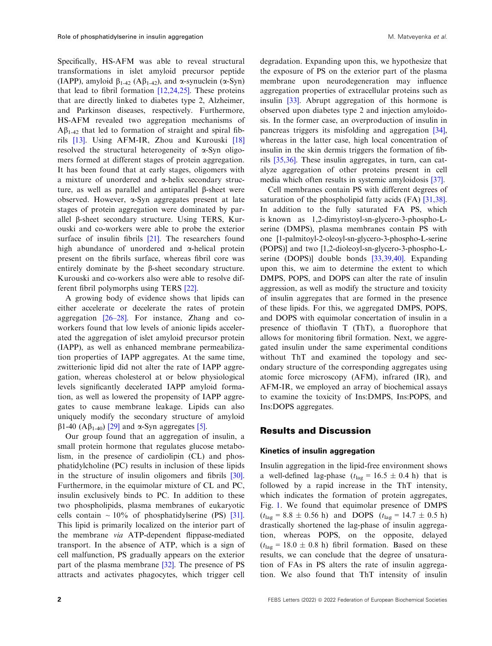Specifically, HS-AFM was able to reveal structural transformations in islet amyloid precursor peptide (IAPP), amyloid  $\beta_{1-42}$  (A $\beta_{1-42}$ ), and  $\alpha$ -synuclein ( $\alpha$ -Syn) that lead to fibril formation [\[12,24,25\]](#page-7-0). These proteins that are directly linked to diabetes type 2, Alzheimer, and Parkinson diseases, respectively. Furthermore, HS-AFM revealed two aggregation mechanisms of  $A\beta_{1-42}$  that led to formation of straight and spiral fibrils [[13](#page-7-0)]. Using AFM-IR, Zhou and Kurouski [\[18\]](#page-7-0) resolved the structural heterogeneity of  $\alpha$ -Syn oligomers formed at different stages of protein aggregation. It has been found that at early stages, oligomers with a mixture of unordered and  $\alpha$ -helix secondary structure, as well as parallel and antiparallel  $\beta$ -sheet were observed. However, a-Syn aggregates present at late stages of protein aggregation were dominated by parallel  $\beta$ -sheet secondary structure. Using TERS, Kurouski and co-workers were able to probe the exterior surface of insulin fibrils [[21](#page-7-0)]. The researchers found high abundance of unordered and  $\alpha$ -helical protein present on the fibrils surface, whereas fibril core was entirely dominate by the  $\beta$ -sheet secondary structure. Kurouski and co-workers also were able to resolve different fibril polymorphs using TERS [[22](#page-7-0)].

A growing body of evidence shows that lipids can either accelerate or decelerate the rates of protein aggregation [\[26](#page-8-0)–[28\]](#page-8-0). For instance, Zhang and coworkers found that low levels of anionic lipids accelerated the aggregation of islet amyloid precursor protein (IAPP), as well as enhanced membrane permeabilization properties of IAPP aggregates. At the same time, zwitterionic lipid did not alter the rate of IAPP aggregation, whereas cholesterol at or below physiological levels significantly decelerated IAPP amyloid formation, as well as lowered the propensity of IAPP aggregates to cause membrane leakage. Lipids can also uniquely modify the secondary structure of amyloid  $\beta$ 1-40 (A $\beta$ <sub>1-40</sub>) [\[29](#page-8-0)] and  $\alpha$ -Syn aggregates [\[5](#page-7-0)].

Our group found that an aggregation of insulin, a small protein hormone that regulates glucose metabolism, in the presence of cardiolipin (CL) and phosphatidylcholine (PC) results in inclusion of these lipids in the structure of insulin oligomers and fibrils [[30](#page-8-0)]. Furthermore, in the equimolar mixture of CL and PC, insulin exclusively binds to PC. In addition to these two phospholipids, plasma membranes of eukaryotic cells contain  $\sim 10\%$  of phosphatidylserine (PS) [[31](#page-8-0)]. This lipid is primarily localized on the interior part of the membrane via ATP-dependent flippase-mediated transport. In the absence of ATP, which is a sign of cell malfunction, PS gradually appears on the exterior part of the plasma membrane [[32](#page-8-0)]. The presence of PS attracts and activates phagocytes, which trigger cell

degradation. Expanding upon this, we hypothesize that the exposure of PS on the exterior part of the plasma membrane upon neurodegeneration may influence aggregation properties of extracellular proteins such as insulin [\[33\]](#page-8-0). Abrupt aggregation of this hormone is observed upon diabetes type 2 and injection amyloidosis. In the former case, an overproduction of insulin in pancreas triggers its misfolding and aggregation [[34](#page-8-0)], whereas in the latter case, high local concentration of insulin in the skin dermis triggers the formation of fibrils [[35,36](#page-8-0)]. These insulin aggregates, in turn, can catalyze aggregation of other proteins present in cell media which often results in systemic amyloidosis [\[37\]](#page-8-0).

Cell membranes contain PS with different degrees of saturation of the phospholipid fatty acids (FA) [[31,38](#page-8-0)]. In addition to the fully saturated FA PS, which is known as 1,2-dimyristoyl-sn-glycero-3-phospho-Lserine (DMPS), plasma membranes contain PS with one [1-palmitoyl-2-oleoyl-sn-glycero-3-phospho-L-serine (POPS)] and two [1,2-dioleoyl-sn-glycero-3-phospho-Lserine (DOPS)] double bonds [[33,39,40](#page-8-0)]. Expanding upon this, we aim to determine the extent to which DMPS, POPS, and DOPS can alter the rate of insulin aggression, as well as modify the structure and toxicity of insulin aggregates that are formed in the presence of these lipids. For this, we aggregated DMPS, POPS, and DOPS with equimolar concertation of insulin in a presence of thioflavin T (ThT), a fluorophore that allows for monitoring fibril formation. Next, we aggregated insulin under the same experimental conditions without ThT and examined the topology and secondary structure of the corresponding aggregates using atomic force microscopy (AFM), infrared (IR), and AFM-IR, we employed an array of biochemical assays to examine the toxicity of Ins:DMPS, Ins:POPS, and Ins:DOPS aggregates.

### Results and Discussion

#### Kinetics of insulin aggregation

Insulin aggregation in the lipid-free environment shows a well-defined lag-phase  $(t_{\text{lag}} = 16.5 \pm 0.4 \text{ h})$  that is followed by a rapid increase in the ThT intensity, which indicates the formation of protein aggregates, Fig. [1](#page-2-0). We found that equimolar presence of DMPS  $(t_{\text{lag}} = 8.8 \pm 0.56 \text{ h})$  and DOPS  $(t_{\text{lag}} = 14.7 \pm 0.5 \text{ h})$ drastically shortened the lag-phase of insulin aggregation, whereas POPS, on the opposite, delayed  $(t<sub>lag</sub> = 18.0 \pm 0.8 \text{ h})$  fibril formation. Based on these results, we can conclude that the degree of unsaturation of FAs in PS alters the rate of insulin aggregation. We also found that ThT intensity of insulin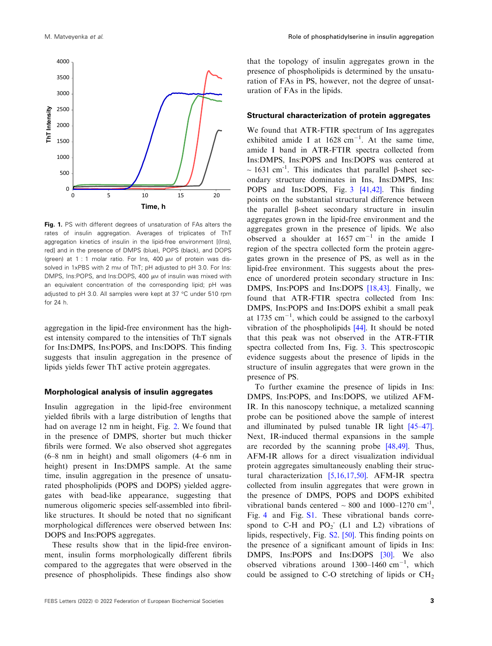<span id="page-2-0"></span>

Fig. 1. PS with different degrees of unsaturation of FAs alters the rates of insulin aggregation. Averages of triplicates of ThT aggregation kinetics of insulin in the lipid-free environment [(Ins), red] and in the presence of DMPS (blue), POPS (black), and DOPS (green) at 1 : 1 molar ratio. For  $\ln s$ , 400  $\mu$ m of protein was dissolved in 1xPBS with 2 mm of ThT; pH adjusted to pH 3.0. For Ins: DMPS, Ins:POPS, and Ins:DOPS, 400 µM of insulin was mixed with an equivalent concentration of the corresponding lipid; pH was adjusted to pH 3.0. All samples were kept at 37 °C under 510 rpm for 24 h.

aggregation in the lipid-free environment has the highest intensity compared to the intensities of ThT signals for Ins:DMPS, Ins:POPS, and Ins:DOPS. This finding suggests that insulin aggregation in the presence of lipids yields fewer ThT active protein aggregates.

#### Morphological analysis of insulin aggregates

Insulin aggregation in the lipid-free environment yielded fibrils with a large distribution of lengths that had on average 12 nm in height, Fig. [2.](#page-3-0) We found that in the presence of DMPS, shorter but much thicker fibrils were formed. We also observed shot aggregates (6–8 nm in height) and small oligomers (4–6 nm in height) present in Ins:DMPS sample. At the same time, insulin aggregation in the presence of unsaturated phospholipids (POPS and DOPS) yielded aggregates with bead-like appearance, suggesting that numerous oligomeric species self-assembled into fibrillike structures. It should be noted that no significant morphological differences were observed between Ins: DOPS and Ins:POPS aggregates.

These results show that in the lipid-free environment, insulin forms morphologically different fibrils compared to the aggregates that were observed in the presence of phospholipids. These findings also show that the topology of insulin aggregates grown in the presence of phospholipids is determined by the unsaturation of FAs in PS, however, not the degree of unsaturation of FAs in the lipids.

#### Structural characterization of protein aggregates

We found that ATR-FTIR spectrum of Ins aggregates exhibited amide I at  $1628 \text{ cm}^{-1}$ . At the same time, amide I band in ATR-FTIR spectra collected from Ins:DMPS, Ins:POPS and Ins:DOPS was centered at  $\sim$  1631 cm<sup>-1</sup>. This indicates that parallel  $\beta$ -sheet secondary structure dominates in Ins, Ins:DMPS, Ins: POPS and Ins:DOPS, Fig. [3](#page-3-0) [\[41,42\]](#page-8-0). This finding points on the substantial structural difference between the parallel b-sheet secondary structure in insulin aggregates grown in the lipid-free environment and the aggregates grown in the presence of lipids. We also observed a shoulder at  $1657 \text{ cm}^{-1}$  in the amide I region of the spectra collected form the protein aggregates grown in the presence of PS, as well as in the lipid-free environment. This suggests about the presence of unordered protein secondary structure in Ins: DMPS, Ins:POPS and Ins:DOPS [\[18,43\]](#page-7-0). Finally, we found that ATR-FTIR spectra collected from Ins: DMPS, Ins:POPS and Ins:DOPS exhibit a small peak at 1735  $\text{cm}^{-1}$ , which could be assigned to the carboxyl vibration of the phospholipids [[44\]](#page-8-0). It should be noted that this peak was not observed in the ATR-FTIR spectra collected from Ins, Fig. [3.](#page-3-0) This spectroscopic evidence suggests about the presence of lipids in the structure of insulin aggregates that were grown in the presence of PS.

To further examine the presence of lipids in Ins: DMPS, Ins:POPS, and Ins:DOPS, we utilized AFM-IR. In this nanoscopy technique, a metalized scanning probe can be positioned above the sample of interest and illuminated by pulsed tunable IR light [[45](#page-8-0)–47]. Next, IR-induced thermal expansions in the sample are recorded by the scanning probe [[48,49](#page-8-0)]. Thus, AFM-IR allows for a direct visualization individual protein aggregates simultaneously enabling their structural characterization [[5,16,17,50\]](#page-7-0). AFM-IR spectra collected from insulin aggregates that were grown in the presence of DMPS, POPS and DOPS exhibited vibrational bands centered  $\sim 800$  and  $1000-1270$  cm<sup>-1</sup>, Fig. [4](#page-3-0) and Fig. S1. These vibrational bands correspond to C-H and  $PO_2^-$  (L1 and L2) vibrations of lipids, respectively, Fig. S2. [[50](#page-8-0)]. This finding points on the presence of a significant amount of lipids in Ins: DMPS, Ins:POPS and Ins:DOPS [\[30\]](#page-8-0). We also observed vibrations around  $1300-1460$  cm<sup>-1</sup>, which could be assigned to C-O stretching of lipids or  $CH<sub>2</sub>$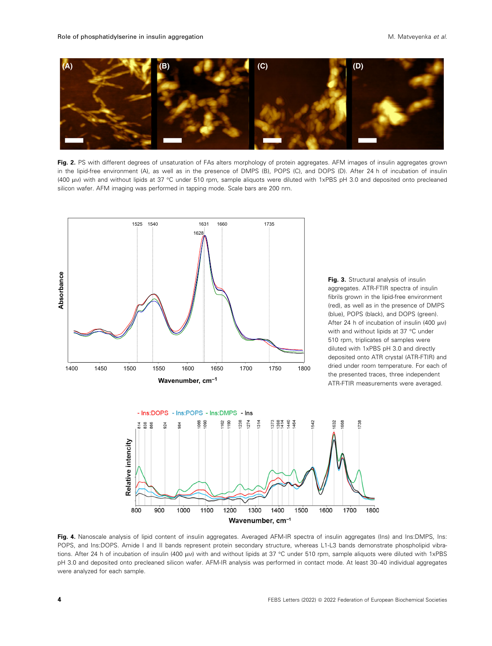<span id="page-3-0"></span>

Fig. 2. PS with different degrees of unsaturation of FAs alters morphology of protein aggregates. AFM images of insulin aggregates grown in the lipid-free environment (A), as well as in the presence of DMPS (B), POPS (C), and DOPS (D). After 24 h of incubation of insulin (400 µM) with and without lipids at 37 °C under 510 rpm, sample aliquots were diluted with 1xPBS pH 3.0 and deposited onto precleaned silicon wafer. AFM imaging was performed in tapping mode. Scale bars are 200 nm.



Fig. 3. Structural analysis of insulin aggregates. ATR-FTIR spectra of insulin fibrils grown in the lipid-free environment (red), as well as in the presence of DMPS (blue), POPS (black), and DOPS (green). After 24 h of incubation of insulin (400  $\mu$ M) with and without lipids at 37 °C under 510 rpm, triplicates of samples were diluted with 1xPBS pH 3.0 and directly deposited onto ATR crystal (ATR-FTIR) and dried under room temperature. For each of the presented traces, three independent ATR-FTIR measurements were averaged.



Fig. 4. Nanoscale analysis of lipid content of insulin aggregates. Averaged AFM-IR spectra of insulin aggregates (Ins) and Ins:DMPS, Ins: POPS, and Ins:DOPS. Amide I and II bands represent protein secondary structure, whereas L1-L3 bands demonstrate phospholipid vibrations. After 24 h of incubation of insulin (400 µM) with and without lipids at 37 °C under 510 rpm, sample aliquots were diluted with 1xPBS pH 3.0 and deposited onto precleaned silicon wafer. AFM-IR analysis was performed in contact mode. At least 30–40 individual aggregates were analyzed for each sample.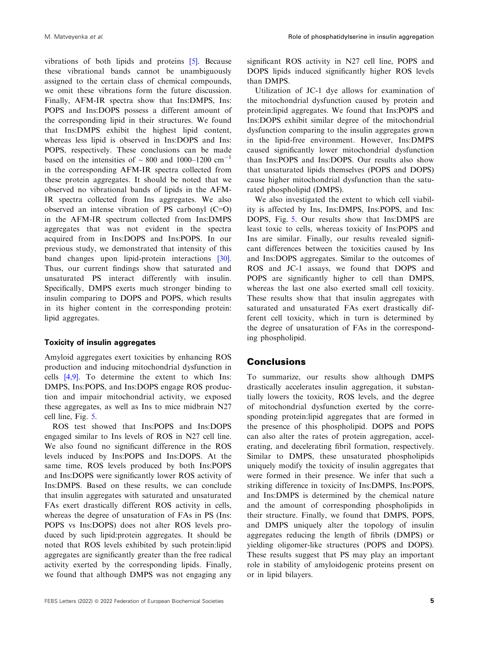vibrations of both lipids and proteins [[5\]](#page-7-0). Because these vibrational bands cannot be unambiguously assigned to the certain class of chemical compounds, we omit these vibrations form the future discussion. Finally, AFM-IR spectra show that Ins:DMPS, Ins: POPS and Ins:DOPS possess a different amount of the corresponding lipid in their structures. We found that Ins:DMPS exhibit the highest lipid content, whereas less lipid is observed in Ins:DOPS and Ins: POPS, respectively. These conclusions can be made based on the intensities of  $\sim 800$  and 1000–1200 cm<sup>-1</sup> in the corresponding AFM-IR spectra collected from these protein aggregates. It should be noted that we observed no vibrational bands of lipids in the AFM-IR spectra collected from Ins aggregates. We also observed an intense vibration of PS carbonyl (C=O) in the AFM-IR spectrum collected from Ins:DMPS aggregates that was not evident in the spectra acquired from in Ins:DOPS and Ins:POPS. In our previous study, we demonstrated that intensity of this band changes upon lipid-protein interactions [[30](#page-8-0)]. Thus, our current findings show that saturated and unsaturated PS interact differently with insulin. Specifically, DMPS exerts much stronger binding to insulin comparing to DOPS and POPS, which results in its higher content in the corresponding protein: lipid aggregates.

### Toxicity of insulin aggregates

Amyloid aggregates exert toxicities by enhancing ROS production and inducing mitochondrial dysfunction in cells [\[4,9](#page-7-0)]. To determine the extent to which Ins: DMPS, Ins:POPS, and Ins:DOPS engage ROS production and impair mitochondrial activity, we exposed these aggregates, as well as Ins to mice midbrain N27 cell line, Fig. [5.](#page-5-0)

ROS test showed that Ins:POPS and Ins:DOPS engaged similar to Ins levels of ROS in N27 cell line. We also found no significant difference in the ROS levels induced by Ins:POPS and Ins:DOPS. At the same time, ROS levels produced by both Ins:POPS and Ins:DOPS were significantly lower ROS activity of Ins:DMPS. Based on these results, we can conclude that insulin aggregates with saturated and unsaturated FAs exert drastically different ROS activity in cells, whereas the degree of unsaturation of FAs in PS (Ins: POPS vs Ins:DOPS) does not alter ROS levels produced by such lipid:protein aggregates. It should be noted that ROS levels exhibited by such protein:lipid aggregates are significantly greater than the free radical activity exerted by the corresponding lipids. Finally, we found that although DMPS was not engaging any

significant ROS activity in N27 cell line, POPS and DOPS lipids induced significantly higher ROS levels than DMPS.

Utilization of JC-1 dye allows for examination of the mitochondrial dysfunction caused by protein and protein:lipid aggregates. We found that Ins:POPS and Ins:DOPS exhibit similar degree of the mitochondrial dysfunction comparing to the insulin aggregates grown in the lipid-free environment. However, Ins:DMPS caused significantly lower mitochondrial dysfunction than Ins:POPS and Ins:DOPS. Our results also show that unsaturated lipids themselves (POPS and DOPS) cause higher mitochondrial dysfunction than the saturated phospholipid (DMPS).

We also investigated the extent to which cell viability is affected by Ins, Ins:DMPS, Ins:POPS, and Ins: DOPS, Fig. [5](#page-5-0). Our results show that Ins:DMPS are least toxic to cells, whereas toxicity of Ins:POPS and Ins are similar. Finally, our results revealed significant differences between the toxicities caused by Ins and Ins:DOPS aggregates. Similar to the outcomes of ROS and JC-1 assays, we found that DOPS and POPS are significantly higher to cell than DMPS, whereas the last one also exerted small cell toxicity. These results show that that insulin aggregates with saturated and unsaturated FAs exert drastically different cell toxicity, which in turn is determined by the degree of unsaturation of FAs in the corresponding phospholipid.

# **Conclusions**

To summarize, our results show although DMPS drastically accelerates insulin aggregation, it substantially lowers the toxicity, ROS levels, and the degree of mitochondrial dysfunction exerted by the corresponding protein:lipid aggregates that are formed in the presence of this phospholipid. DOPS and POPS can also alter the rates of protein aggregation, accelerating, and decelerating fibril formation, respectively. Similar to DMPS, these unsaturated phospholipids uniquely modify the toxicity of insulin aggregates that were formed in their presence. We infer that such a striking difference in toxicity of Ins:DMPS, Ins:POPS, and Ins:DMPS is determined by the chemical nature and the amount of corresponding phospholipids in their structure. Finally, we found that DMPS, POPS, and DMPS uniquely alter the topology of insulin aggregates reducing the length of fibrils (DMPS) or yielding oligomer-like structures (POPS and DOPS). These results suggest that PS may play an important role in stability of amyloidogenic proteins present on or in lipid bilayers.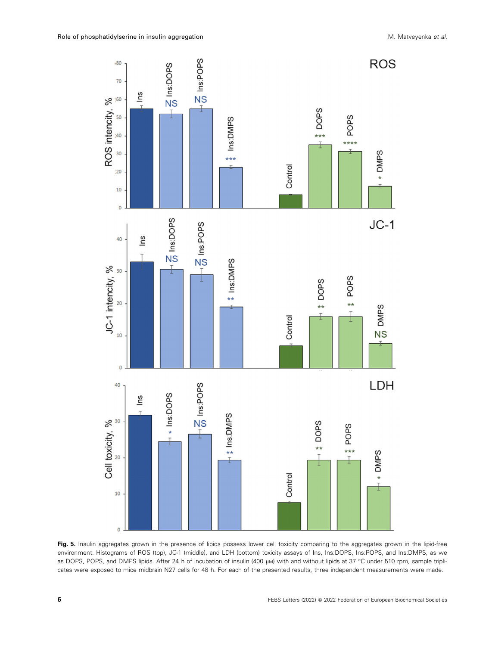<span id="page-5-0"></span>

Fig. 5. Insulin aggregates grown in the presence of lipids possess lower cell toxicity comparing to the aggregates grown in the lipid-free environment. Histograms of ROS (top), JC-1 (middle), and LDH (bottom) toxicity assays of Ins, Ins:DOPS, Ins:POPS, and Ins:DMPS, as we as DOPS, POPS, and DMPS lipids. After 24 h of incubation of insulin (400 µM) with and without lipids at 37 °C under 510 rpm, sample triplicates were exposed to mice midbrain N27 cells for 48 h. For each of the presented results, three independent measurements were made.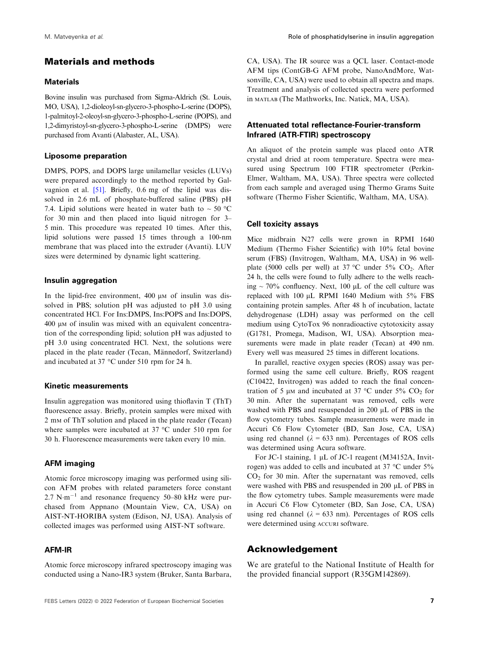# Materials and methods

#### **Materials**

Bovine insulin was purchased from Sigma-Aldrich (St. Louis, MO, USA), 1,2-dioleoyl-sn-glycero-3-phospho-L-serine (DOPS), 1-palmitoyl-2-oleoyl-sn-glycero-3-phospho-L-serine (POPS), and 1,2-dimyristoyl-sn-glycero-3-phospho-L-serine (DMPS) were purchased from Avanti (Alabaster, AL, USA).

#### Liposome preparation

DMPS, POPS, and DOPS large unilamellar vesicles (LUVs) were prepared accordingly to the method reported by Galvagnion et al. [\[51\]](#page-8-0). Briefly, 0.6 mg of the lipid was dissolved in 2.6 mL of phosphate-buffered saline (PBS) pH 7.4. Lipid solutions were heated in water bath to  $\sim 50$  °C for 30 min and then placed into liquid nitrogen for 3– 5 min. This procedure was repeated 10 times. After this, lipid solutions were passed 15 times through a 100-nm membrane that was placed into the extruder (Avanti). LUV sizes were determined by dynamic light scattering.

#### Insulin aggregation

In the lipid-free environment,  $400 \mu$ M of insulin was dissolved in PBS; solution pH was adjusted to pH 3.0 using concentrated HCl. For Ins:DMPS, Ins:POPS and Ins:DOPS,  $400 \mu$ M of insulin was mixed with an equivalent concentration of the corresponding lipid; solution pH was adjusted to pH 3.0 using concentrated HCl. Next, the solutions were placed in the plate reader (Tecan, Männedorf, Switzerland) and incubated at 37 °C under 510 rpm for 24 h.

#### Kinetic measurements

Insulin aggregation was monitored using thioflavin T (ThT) fluorescence assay. Briefly, protein samples were mixed with 2 mM of ThT solution and placed in the plate reader (Tecan) where samples were incubated at 37 °C under 510 rpm for 30 h. Fluorescence measurements were taken every 10 min.

#### AFM imaging

Atomic force microscopy imaging was performed using silicon AFM probes with related parameters force constant 2.7 N·m<sup>-1</sup> and resonance frequency 50–80 kHz were purchased from Appnano (Mountain View, CA, USA) on AIST-NT-HORIBA system (Edison, NJ, USA). Analysis of collected images was performed using AIST-NT software.

#### AFM-IR

CA, USA). The IR source was a QCL laser. Contact-mode AFM tips (ContGB-G AFM probe, NanoAndMore, Watsonville, CA, USA) were used to obtain all spectra and maps. Treatment and analysis of collected spectra were performed in MATLAB (The Mathworks, Inc. Natick, MA, USA).

## Attenuated total reflectance-Fourier-transform Infrared (ATR-FTIR) spectroscopy

An aliquot of the protein sample was placed onto ATR crystal and dried at room temperature. Spectra were measured using Spectrum 100 FTIR spectrometer (Perkin-Elmer, Waltham, MA, USA). Three spectra were collected from each sample and averaged using Thermo Grams Suite software (Thermo Fisher Scientific, Waltham, MA, USA).

#### Cell toxicity assays

Mice midbrain N27 cells were grown in RPMI 1640 Medium (Thermo Fisher Scientific) with 10% fetal bovine serum (FBS) (Invitrogen, Waltham, MA, USA) in 96 wellplate (5000 cells per well) at 37 °C under 5%  $CO<sub>2</sub>$ . After 24 h, the cells were found to fully adhere to the wells reaching  $\sim$  70% confluency. Next, 100  $\mu$ L of the cell culture was replaced with  $100 \mu L$  RPMI 1640 Medium with  $5\%$  FBS containing protein samples. After 48 h of incubation, lactate dehydrogenase (LDH) assay was performed on the cell medium using CytoTox 96 nonradioactive cytotoxicity assay (G1781, Promega, Madison, WI, USA). Absorption measurements were made in plate reader (Tecan) at 490 nm. Every well was measured 25 times in different locations.

In parallel, reactive oxygen species (ROS) assay was performed using the same cell culture. Briefly, ROS reagent (C10422, Invitrogen) was added to reach the final concentration of 5  $\mu$ m and incubated at 37 °C under 5% CO<sub>2</sub> for 30 min. After the supernatant was removed, cells were washed with PBS and resuspended in  $200 \mu L$  of PBS in the flow cytometry tubes. Sample measurements were made in Accuri C6 Flow Cytometer (BD, San Jose, CA, USA) using red channel ( $\lambda = 633$  nm). Percentages of ROS cells was determined using Acura software.

For JC-1 staining,  $1 \mu L$  of JC-1 reagent (M34152A, Invitrogen) was added to cells and incubated at 37 °C under 5%  $CO<sub>2</sub>$  for 30 min. After the supernatant was removed, cells were washed with PBS and resuspended in 200  $\mu$ L of PBS in the flow cytometry tubes. Sample measurements were made in Accuri C6 Flow Cytometer (BD, San Jose, CA, USA) using red channel ( $\lambda = 633$  nm). Percentages of ROS cells were determined using ACCURI software.

### Acknowledgement

We are grateful to the National Institute of Health for the provided financial support (R35GM142869).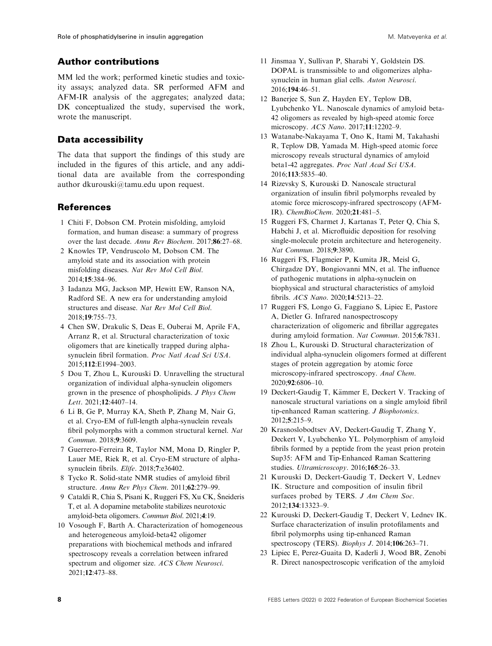# <span id="page-7-0"></span>Author contributions

MM led the work; performed kinetic studies and toxicity assays; analyzed data. SR performed AFM and AFM-IR analysis of the aggregates; analyzed data; DK conceptualized the study, supervised the work, wrote the manuscript.

# Data accessibility

The data that support the findings of this study are included in the figures of this article, and any additional data are available from the corresponding author [dkurouski@tamu.edu](mailto:dkurouski@�tamu.edu) upon request.

# **References**

- 1 Chiti F, Dobson CM. Protein misfolding, amyloid formation, and human disease: a summary of progress over the last decade. Annu Rev Biochem. 2017;86:27–68.
- 2 Knowles TP, Vendruscolo M, Dobson CM. The amyloid state and its association with protein misfolding diseases. Nat Rev Mol Cell Biol. 2014;15:384–96.
- 3 Iadanza MG, Jackson MP, Hewitt EW, Ranson NA, Radford SE. A new era for understanding amyloid structures and disease. Nat Rev Mol Cell Biol. 2018;19:755–73.
- 4 Chen SW, Drakulic S, Deas E, Ouberai M, Aprile FA, Arranz R, et al. Structural characterization of toxic oligomers that are kinetically trapped during alphasynuclein fibril formation. Proc Natl Acad Sci USA. 2015;112:E1994–2003.
- 5 Dou T, Zhou L, Kurouski D. Unravelling the structural organization of individual alpha-synuclein oligomers grown in the presence of phospholipids. J Phys Chem Lett. 2021;12:4407–14.
- 6 Li B, Ge P, Murray KA, Sheth P, Zhang M, Nair G, et al. Cryo-EM of full-length alpha-synuclein reveals fibril polymorphs with a common structural kernel. Nat Commun. 2018;9:3609.
- 7 Guerrero-Ferreira R, Taylor NM, Mona D, Ringler P, Lauer ME, Riek R, et al. Cryo-EM structure of alphasynuclein fibrils. Elife. 2018;7:e36402.
- 8 Tycko R. Solid-state NMR studies of amyloid fibril structure. Annu Rev Phys Chem. 2011;62:279–99.
- 9 Cataldi R, Chia S, Pisani K, Ruggeri FS, Xu CK, Sneideris T, et al. A dopamine metabolite stabilizes neurotoxic amyloid-beta oligomers. Commun Biol. 2021;4:19.
- 10 Vosough F, Barth A. Characterization of homogeneous and heterogeneous amyloid-beta42 oligomer preparations with biochemical methods and infrared spectroscopy reveals a correlation between infrared spectrum and oligomer size. ACS Chem Neurosci. 2021;12:473–88.
- 11 Jinsmaa Y, Sullivan P, Sharabi Y, Goldstein DS. DOPAL is transmissible to and oligomerizes alphasynuclein in human glial cells. Auton Neurosci. 2016;194:46–51.
- 12 Banerjee S, Sun Z, Hayden EY, Teplow DB, Lyubchenko YL. Nanoscale dynamics of amyloid beta-42 oligomers as revealed by high-speed atomic force microscopy. ACS Nano. 2017;11:12202–9.
- 13 Watanabe-Nakayama T, Ono K, Itami M, Takahashi R, Teplow DB, Yamada M. High-speed atomic force microscopy reveals structural dynamics of amyloid beta1-42 aggregates. Proc Natl Acad Sci USA. 2016;113:5835–40.
- 14 Rizevsky S, Kurouski D. Nanoscale structural organization of insulin fibril polymorphs revealed by atomic force microscopy-infrared spectroscopy (AFM-IR). ChemBioChem. 2020;21:481–5.
- 15 Ruggeri FS, Charmet J, Kartanas T, Peter Q, Chia S, Habchi J, et al. Microfluidic deposition for resolving single-molecule protein architecture and heterogeneity. Nat Commun. 2018;9:3890.
- 16 Ruggeri FS, Flagmeier P, Kumita JR, Meisl G, Chirgadze DY, Bongiovanni MN, et al. The influence of pathogenic mutations in alpha-synuclein on biophysical and structural characteristics of amyloid fibrils. ACS Nano. 2020;14:5213–22.
- 17 Ruggeri FS, Longo G, Faggiano S, Lipiec E, Pastore A, Dietler G. Infrared nanospectroscopy characterization of oligomeric and fibrillar aggregates during amyloid formation. Nat Commun. 2015;6:7831.
- 18 Zhou L, Kurouski D. Structural characterization of individual alpha-synuclein oligomers formed at different stages of protein aggregation by atomic force microscopy-infrared spectroscopy. Anal Chem. 2020;92:6806–10.
- 19 Deckert-Gaudig T, Kämmer E, Deckert V. Tracking of nanoscale structural variations on a single amyloid fibril tip-enhanced Raman scattering. J Biophotonics. 2012;5:215–9.
- 20 Krasnoslobodtsev AV, Deckert-Gaudig T, Zhang Y, Deckert V, Lyubchenko YL. Polymorphism of amyloid fibrils formed by a peptide from the yeast prion protein Sup35: AFM and Tip-Enhanced Raman Scattering studies. Ultramicroscopy. 2016;165:26-33.
- 21 Kurouski D, Deckert-Gaudig T, Deckert V, Lednev IK. Structure and composition of insulin fibril surfaces probed by TERS. J Am Chem Soc. 2012;134:13323–9.
- 22 Kurouski D, Deckert-Gaudig T, Deckert V, Lednev IK. Surface characterization of insulin protofilaments and fibril polymorphs using tip-enhanced Raman spectroscopy (TERS). Biophys J. 2014;106:263–71.
- 23 Lipiec E, Perez-Guaita D, Kaderli J, Wood BR, Zenobi R. Direct nanospectroscopic verification of the amyloid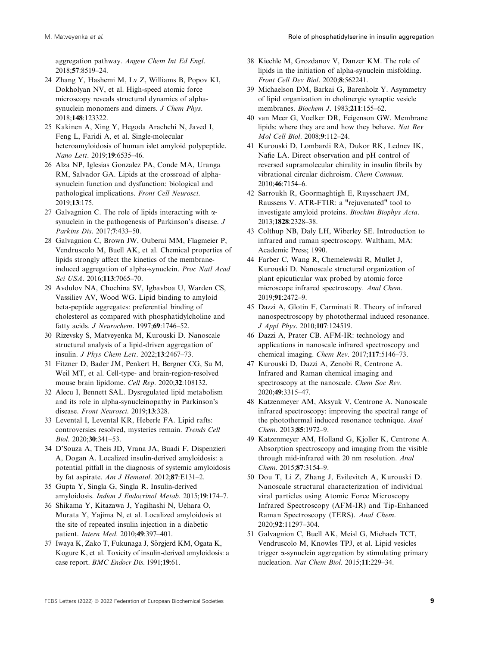<span id="page-8-0"></span>aggregation pathway. Angew Chem Int Ed Engl. 2018;57:8519–24.

- 24 Zhang Y, Hashemi M, Lv Z, Williams B, Popov KI, Dokholyan NV, et al. High-speed atomic force microscopy reveals structural dynamics of alphasynuclein monomers and dimers. J Chem Phys. 2018;148:123322.
- 25 Kakinen A, Xing Y, Hegoda Arachchi N, Javed I, Feng L, Faridi A, et al. Single-molecular heteroamyloidosis of human islet amyloid polypeptide. Nano Lett. 2019;19:6535–46.
- 26 Alza NP, Iglesias Gonzalez PA, Conde MA, Uranga RM, Salvador GA. Lipids at the crossroad of alphasynuclein function and dysfunction: biological and pathological implications. Front Cell Neurosci. 2019;13:175.
- 27 Galvagnion C. The role of lipids interacting with  $\alpha$ synuclein in the pathogenesis of Parkinson's disease. J Parkins Dis. 2017;7:433–50.
- 28 Galvagnion C, Brown JW, Ouberai MM, Flagmeier P, Vendruscolo M, Buell AK, et al. Chemical properties of lipids strongly affect the kinetics of the membraneinduced aggregation of alpha-synuclein. Proc Natl Acad Sci USA. 2016;113:7065–70.
- 29 Avdulov NA, Chochina SV, Igbavboa U, Warden CS, Vassiliev AV, Wood WG. Lipid binding to amyloid beta-peptide aggregates: preferential binding of cholesterol as compared with phosphatidylcholine and fatty acids. J Neurochem. 1997;69:1746–52.
- 30 Rizevsky S, Matveyenka M, Kurouski D. Nanoscale structural analysis of a lipid-driven aggregation of insulin. J Phys Chem Lett. 2022;13:2467–73.
- 31 Fitzner D, Bader JM, Penkert H, Bergner CG, Su M, Weil MT, et al. Cell-type- and brain-region-resolved mouse brain lipidome. Cell Rep. 2020;32:108132.
- 32 Alecu I, Bennett SAL. Dysregulated lipid metabolism and its role in alpha-synucleinopathy in Parkinson's disease. Front Neurosci. 2019;13:328.
- 33 Levental I, Levental KR, Heberle FA. Lipid rafts: controversies resolved, mysteries remain. Trends Cell Biol. 2020;30:341–53.
- 34 D'Souza A, Theis JD, Vrana JA, Buadi F, Dispenzieri A, Dogan A. Localized insulin-derived amyloidosis: a potential pitfall in the diagnosis of systemic amyloidosis by fat aspirate. Am J Hematol.  $2012;87$ :E131-2.
- 35 Gupta Y, Singla G, Singla R. Insulin-derived amyloidosis. Indian J Endocrinol Metab. 2015;19:174–7.
- 36 Shikama Y, Kitazawa J, Yagihashi N, Uehara O, Murata Y, Yajima N, et al. Localized amyloidosis at the site of repeated insulin injection in a diabetic patient. Intern Med. 2010;49:397–401.
- 37 Iwaya K, Zako T, Fukunaga J, Sörgjerd KM, Ogata K, Kogure K, et al. Toxicity of insulin-derived amyloidosis: a case report. BMC Endocr Dis. 1991;19:61.
- 38 Kiechle M, Grozdanov V, Danzer KM. The role of lipids in the initiation of alpha-synuclein misfolding. Front Cell Dev Biol. 2020;8:562241.
- 39 Michaelson DM, Barkai G, Barenholz Y. Asymmetry of lipid organization in cholinergic synaptic vesicle membranes. Biochem J. 1983;211:155–62.
- 40 van Meer G, Voelker DR, Feigenson GW. Membrane lipids: where they are and how they behave. Nat Rev Mol Cell Biol. 2008;9:112–24.
- 41 Kurouski D, Lombardi RA, Dukor RK, Lednev IK, Nafie LA. Direct observation and pH control of reversed supramolecular chirality in insulin fibrils by vibrational circular dichroism. Chem Commun. 2010;46:7154–6.
- 42 Sarroukh R, Goormaghtigh E, Ruysschaert JM, Raussens V. ATR-FTIR: a "rejuvenated" tool to investigate amyloid proteins. Biochim Biophys Acta. 2013;1828:2328–38.
- 43 Colthup NB, Daly LH, Wiberley SE. Introduction to infrared and raman spectroscopy. Waltham, MA: Academic Press; 1990.
- 44 Farber C, Wang R, Chemelewski R, Mullet J, Kurouski D. Nanoscale structural organization of plant epicuticular wax probed by atomic force microscope infrared spectroscopy. Anal Chem. 2019;91:2472–9.
- 45 Dazzi A, Glotin F, Carminati R. Theory of infrared nanospectroscopy by photothermal induced resonance. J Appl Phys. 2010;107:124519.
- 46 Dazzi A, Prater CB. AFM-IR: technology and applications in nanoscale infrared spectroscopy and chemical imaging. Chem Rev. 2017;117:5146–73.
- 47 Kurouski D, Dazzi A, Zenobi R, Centrone A. Infrared and Raman chemical imaging and spectroscopy at the nanoscale. Chem Soc Rev. 2020;49:3315–47.
- 48 Katzenmeyer AM, Aksyuk V, Centrone A. Nanoscale infrared spectroscopy: improving the spectral range of the photothermal induced resonance technique. Anal Chem. 2013;85:1972–9.
- 49 Katzenmeyer AM, Holland G, Kjoller K, Centrone A. Absorption spectroscopy and imaging from the visible through mid-infrared with 20 nm resolution. Anal Chem. 2015;87:3154–9.
- 50 Dou T, Li Z, Zhang J, Evilevitch A, Kurouski D. Nanoscale structural characterization of individual viral particles using Atomic Force Microscopy Infrared Spectroscopy (AFM-IR) and Tip-Enhanced Raman Spectroscopy (TERS). Anal Chem. 2020;92:11297–304.
- 51 Galvagnion C, Buell AK, Meisl G, Michaels TCT, Vendruscolo M, Knowles TPJ, et al. Lipid vesicles trigger  $\alpha$ -synuclein aggregation by stimulating primary nucleation. Nat Chem Biol. 2015;11:229–34.